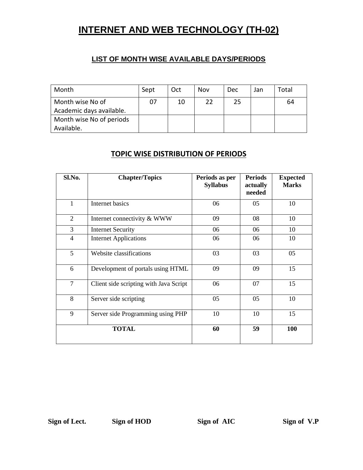# **INTERNET AND WEB TECHNOLOGY (TH-02)**

#### **LIST OF MONTH WISE AVAILABLE DAYS/PERIODS**

| Month                    | Sept | Oct | Nov | <b>Dec</b> | Jan | Total |
|--------------------------|------|-----|-----|------------|-----|-------|
| Month wise No of         | 07   | 10  | 22  | 25         |     | 64    |
| Academic days available. |      |     |     |            |     |       |
| Month wise No of periods |      |     |     |            |     |       |
| Available.               |      |     |     |            |     |       |

### **TOPIC WISE DISTRIBUTION OF PERIODS**

| Sl.No.         | <b>Chapter/Topics</b>                  | Periods as per<br><b>Syllabus</b> | <b>Periods</b><br>actually<br>needed | <b>Expected</b><br><b>Marks</b> |
|----------------|----------------------------------------|-----------------------------------|--------------------------------------|---------------------------------|
| 1              | <b>Internet basics</b>                 | 06                                | 05                                   | 10                              |
| $\overline{2}$ | Internet connectivity & WWW            | 09                                | 08                                   | 10                              |
| 3              | <b>Internet Security</b>               | 06                                | 06                                   | 10                              |
| $\overline{4}$ | <b>Internet Applications</b>           | 06                                | 06                                   | 10                              |
| 5              | Website classifications                | 03                                | 03                                   | 05                              |
| 6              | Development of portals using HTML      | 09                                | 09                                   | 15                              |
| $\overline{7}$ | Client side scripting with Java Script | 06                                | 07                                   | 15                              |
| 8              | Server side scripting                  | 05                                | 05                                   | 10                              |
| 9              | Server side Programming using PHP      | 10                                | 10                                   | 15                              |
|                | <b>TOTAL</b>                           | 60                                | 59                                   | 100                             |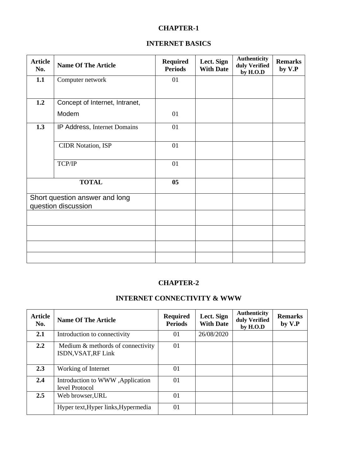#### **INTERNET BASICS**

| <b>Article</b><br>No. | <b>Name Of The Article</b>                            | <b>Required</b><br><b>Periods</b> | Lect. Sign<br><b>With Date</b> | <b>Authenticity</b><br>duly Verified<br>by H.O.D | <b>Remarks</b><br>by V.P |
|-----------------------|-------------------------------------------------------|-----------------------------------|--------------------------------|--------------------------------------------------|--------------------------|
| 1.1                   | Computer network                                      | 01                                |                                |                                                  |                          |
|                       |                                                       |                                   |                                |                                                  |                          |
| 1.2                   | Concept of Internet, Intranet,                        |                                   |                                |                                                  |                          |
|                       | Modem                                                 | 01                                |                                |                                                  |                          |
| 1.3                   | IP Address, Internet Domains                          | 01                                |                                |                                                  |                          |
|                       | <b>CIDR Notation, ISP</b>                             | 01                                |                                |                                                  |                          |
|                       | TCP/IP                                                | 01                                |                                |                                                  |                          |
|                       | <b>TOTAL</b>                                          | 05                                |                                |                                                  |                          |
|                       | Short question answer and long<br>question discussion |                                   |                                |                                                  |                          |
|                       |                                                       |                                   |                                |                                                  |                          |
|                       |                                                       |                                   |                                |                                                  |                          |
|                       |                                                       |                                   |                                |                                                  |                          |
|                       |                                                       |                                   |                                |                                                  |                          |

#### **CHAPTER-2**

#### **INTERNET CONNECTIVITY & WWW**

| <b>Article</b><br>No. | <b>Name Of The Article</b>                               | <b>Required</b><br><b>Periods</b> | Lect. Sign<br><b>With Date</b> | <b>Authenticity</b><br>duly Verified<br>by H.O.D | <b>Remarks</b><br>by V.P |
|-----------------------|----------------------------------------------------------|-----------------------------------|--------------------------------|--------------------------------------------------|--------------------------|
| 2.1                   | Introduction to connectivity                             | 01                                | 26/08/2020                     |                                                  |                          |
| $2.2^{\circ}$         | Medium & methords of connectivity<br>ISDN, VSAT, RF Link | 01                                |                                |                                                  |                          |
| 2.3                   | Working of Internet                                      | 01                                |                                |                                                  |                          |
| 2.4                   | Introduction to WWW, Application<br>level Protocol       | 01                                |                                |                                                  |                          |
| $2.5^{\circ}$         | Web browser, URL                                         | 01                                |                                |                                                  |                          |
|                       | Hyper text, Hyper links, Hypermedia                      | 01                                |                                |                                                  |                          |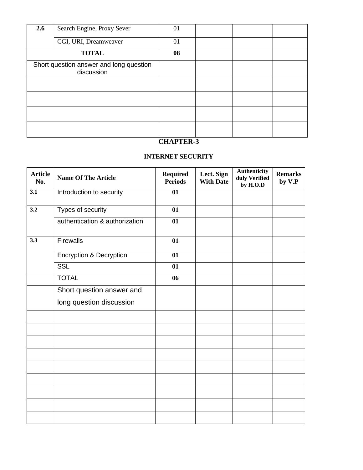| 2.6 | Search Engine, Proxy Sever                            | 01 |  |  |
|-----|-------------------------------------------------------|----|--|--|
|     | CGI, URI, Dreamweaver                                 | 01 |  |  |
|     | <b>TOTAL</b>                                          | 08 |  |  |
|     | Short question answer and long question<br>discussion |    |  |  |
|     |                                                       |    |  |  |
|     |                                                       |    |  |  |
|     |                                                       |    |  |  |
|     |                                                       |    |  |  |

### **INTERNET SECURITY**

| <b>Article</b><br>No. | <b>Name Of The Article</b>         | <b>Required</b><br><b>Periods</b> | Lect. Sign<br><b>With Date</b> | <b>Authenticity</b><br>duly Verified<br>by H.O.D | <b>Remarks</b><br>by V.P |
|-----------------------|------------------------------------|-----------------------------------|--------------------------------|--------------------------------------------------|--------------------------|
| 3.1                   | Introduction to security           | 01                                |                                |                                                  |                          |
| 3.2                   | Types of security                  | 01                                |                                |                                                  |                          |
|                       | authentication & authorization     | 01                                |                                |                                                  |                          |
| 3.3                   | <b>Firewalls</b>                   | 01                                |                                |                                                  |                          |
|                       | <b>Encryption &amp; Decryption</b> | 01                                |                                |                                                  |                          |
|                       | <b>SSL</b>                         | 01                                |                                |                                                  |                          |
|                       | <b>TOTAL</b>                       | 06                                |                                |                                                  |                          |
|                       | Short question answer and          |                                   |                                |                                                  |                          |
|                       | long question discussion           |                                   |                                |                                                  |                          |
|                       |                                    |                                   |                                |                                                  |                          |
|                       |                                    |                                   |                                |                                                  |                          |
|                       |                                    |                                   |                                |                                                  |                          |
|                       |                                    |                                   |                                |                                                  |                          |
|                       |                                    |                                   |                                |                                                  |                          |
|                       |                                    |                                   |                                |                                                  |                          |
|                       |                                    |                                   |                                |                                                  |                          |
|                       |                                    |                                   |                                |                                                  |                          |
|                       |                                    |                                   |                                |                                                  |                          |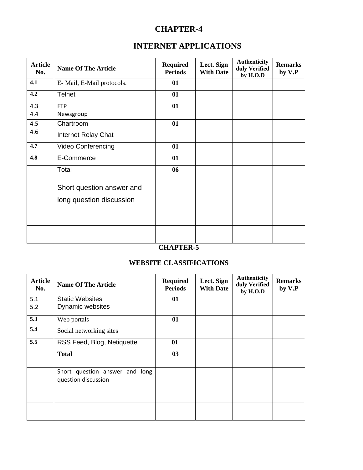## **INTERNET APPLICATIONS**

| <b>Article</b><br>No. | <b>Name Of The Article</b> | <b>Required</b><br><b>Periods</b> | Lect. Sign<br><b>With Date</b> | <b>Authenticity</b><br>duly Verified<br>by H.O.D | <b>Remarks</b><br>by V.P |
|-----------------------|----------------------------|-----------------------------------|--------------------------------|--------------------------------------------------|--------------------------|
| 4.1                   | E-Mail, E-Mail protocols.  | 01                                |                                |                                                  |                          |
| 4.2                   | <b>Telnet</b>              | 01                                |                                |                                                  |                          |
| 4.3                   | <b>FTP</b>                 | 01                                |                                |                                                  |                          |
| 4.4                   | Newsgroup                  |                                   |                                |                                                  |                          |
| 4.5                   | Chartroom                  | 01                                |                                |                                                  |                          |
| 4.6                   | Internet Relay Chat        |                                   |                                |                                                  |                          |
| 4.7                   | Video Conferencing         | 01                                |                                |                                                  |                          |
| 4.8                   | E-Commerce                 | 01                                |                                |                                                  |                          |
|                       | Total                      | 06                                |                                |                                                  |                          |
|                       | Short question answer and  |                                   |                                |                                                  |                          |
|                       | long question discussion   |                                   |                                |                                                  |                          |
|                       |                            |                                   |                                |                                                  |                          |
|                       |                            |                                   |                                |                                                  |                          |

## **CHAPTER-5**

#### **WEBSITE CLASSIFICATIONS**

| <b>Article</b><br>No. | <b>Name Of The Article</b>                            | <b>Required</b><br><b>Periods</b> | Lect. Sign<br><b>With Date</b> | <b>Authenticity</b><br>duly Verified<br>by H.O.D | <b>Remarks</b><br>by V.P |
|-----------------------|-------------------------------------------------------|-----------------------------------|--------------------------------|--------------------------------------------------|--------------------------|
| 5.1                   | <b>Static Websites</b>                                | 01                                |                                |                                                  |                          |
| 5.2                   | Dynamic websites                                      |                                   |                                |                                                  |                          |
| 5.3                   | Web portals                                           | 01                                |                                |                                                  |                          |
| 5.4                   | Social networking sites                               |                                   |                                |                                                  |                          |
| 5.5                   | RSS Feed, Blog, Netiquette                            | 01                                |                                |                                                  |                          |
|                       | <b>Total</b>                                          | 03                                |                                |                                                  |                          |
|                       | Short question answer and long<br>question discussion |                                   |                                |                                                  |                          |
|                       |                                                       |                                   |                                |                                                  |                          |
|                       |                                                       |                                   |                                |                                                  |                          |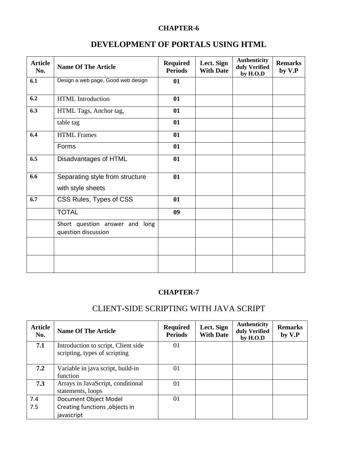## **DEVELOPMENT OF PORTALS USING HTML**

| <b>Article</b><br>No. | <b>Name Of The Article</b>                               | <b>Required</b><br><b>Periods</b> | Lect. Sign<br><b>With Date</b> | <b>Authenticity</b><br>duly Verified<br>by H.O.D | <b>Remarks</b><br>by V.P |
|-----------------------|----------------------------------------------------------|-----------------------------------|--------------------------------|--------------------------------------------------|--------------------------|
| 6.1                   | Design a web page, Good web design                       | 01                                |                                |                                                  |                          |
| 6.2                   | HTML Introduction                                        | 01                                |                                |                                                  |                          |
| 6.3                   | HTML Tags, Anchor tag,                                   | 01                                |                                |                                                  |                          |
|                       | table tag                                                | 01                                |                                |                                                  |                          |
| 6.4                   | <b>HTML</b> Frames                                       | 01                                |                                |                                                  |                          |
|                       | Forms                                                    | 01                                |                                |                                                  |                          |
| 6.5                   | Disadvantages of HTML                                    | 01                                |                                |                                                  |                          |
| 6.6                   | Separating style from structure<br>with style sheets     | 01                                |                                |                                                  |                          |
| 6.7                   | CSS Rules, Types of CSS                                  | 01                                |                                |                                                  |                          |
|                       | <b>TOTAL</b>                                             | 09                                |                                |                                                  |                          |
|                       | Short question answer and<br>long<br>question discussion |                                   |                                |                                                  |                          |
|                       |                                                          |                                   |                                |                                                  |                          |
|                       |                                                          |                                   |                                |                                                  |                          |

#### **CHAPTER-7**

## CLIENT-SIDE SCRIPTING WITH JAVA SCRIPT

| <b>Article</b><br>No. | <b>Name Of The Article</b>                                            | <b>Required</b><br><b>Periods</b> | Lect. Sign<br><b>With Date</b> | <b>Authenticity</b><br>duly Verified<br>by H.O.D | <b>Remarks</b><br>by V.P |
|-----------------------|-----------------------------------------------------------------------|-----------------------------------|--------------------------------|--------------------------------------------------|--------------------------|
| 7.1                   | Introduction to script, Client side<br>scripting, types of scripting  | 01                                |                                |                                                  |                          |
| 7.2                   | Variable in java script, build-in<br>function                         | 01                                |                                |                                                  |                          |
| 7.3                   | Arrays in JavaScript, conditional<br>statements, loops                | 01                                |                                |                                                  |                          |
| 7.4<br>7.5            | Document Object Model<br>Creating functions, objects in<br>javascript | 01                                |                                |                                                  |                          |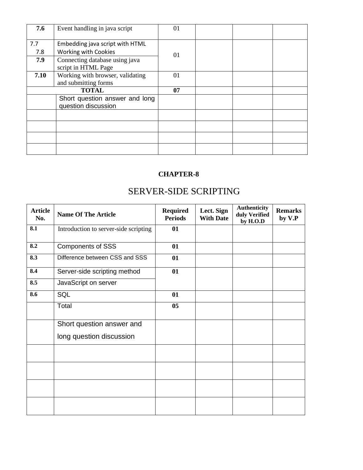| 7.6        | Event handling in java script                                  | 01 |  |  |
|------------|----------------------------------------------------------------|----|--|--|
| 7.7<br>7.8 | Embedding java script with HTML<br><b>Working with Cookies</b> | 01 |  |  |
| 7.9        | Connecting database using java<br>script in HTML Page          |    |  |  |
| 7.10       | Working with browser, validating<br>and submitting forms       | 01 |  |  |
|            | <b>TOTAL</b>                                                   | 07 |  |  |
|            | Short question answer and long<br>question discussion          |    |  |  |
|            |                                                                |    |  |  |
|            |                                                                |    |  |  |
|            |                                                                |    |  |  |
|            |                                                                |    |  |  |

# SERVER-SIDE SCRIPTING

| <b>Article</b><br>No. | <b>Name Of The Article</b>            | <b>Required</b><br><b>Periods</b> | Lect. Sign<br><b>With Date</b> | <b>Authenticity</b><br>duly Verified<br>by H.O.D | <b>Remarks</b><br>by V.P |
|-----------------------|---------------------------------------|-----------------------------------|--------------------------------|--------------------------------------------------|--------------------------|
| 8.1                   | Introduction to server-side scripting | 01                                |                                |                                                  |                          |
| 8.2                   | <b>Components of SSS</b>              | 01                                |                                |                                                  |                          |
| 8.3                   | Difference between CSS and SSS        | 01                                |                                |                                                  |                          |
| 8.4                   | Server-side scripting method          | 01                                |                                |                                                  |                          |
| 8.5                   | JavaScript on server                  |                                   |                                |                                                  |                          |
| 8.6                   | SQL                                   | 01                                |                                |                                                  |                          |
|                       | Total                                 | $05\,$                            |                                |                                                  |                          |
|                       | Short question answer and             |                                   |                                |                                                  |                          |
|                       | long question discussion              |                                   |                                |                                                  |                          |
|                       |                                       |                                   |                                |                                                  |                          |
|                       |                                       |                                   |                                |                                                  |                          |
|                       |                                       |                                   |                                |                                                  |                          |
|                       |                                       |                                   |                                |                                                  |                          |